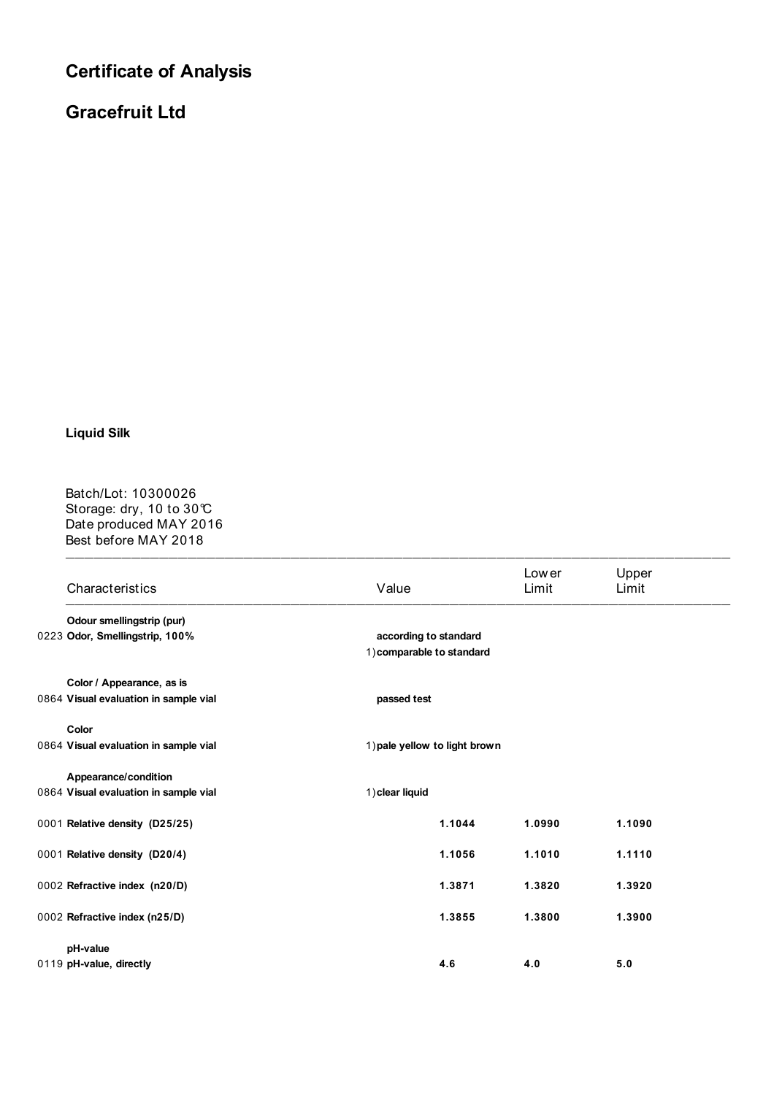## **Certificate of Analysis**

## **Gracefruit Ltd**

## **Liquid Silk**

 $\blacksquare$ Batch/Lot: 10300026 Storage: dry, 10 to 30℃ Date produced MAY 2016 Best before MAY 2018

|  | Characteristics                       | Value                                              | Low er<br>Limit               | Upper<br>Limit |  |  |
|--|---------------------------------------|----------------------------------------------------|-------------------------------|----------------|--|--|
|  | Odour smellingstrip (pur)             |                                                    |                               |                |  |  |
|  | 0223 Odor, Smellingstrip, 100%        | according to standard<br>1) comparable to standard |                               |                |  |  |
|  | Color / Appearance, as is             |                                                    |                               |                |  |  |
|  | 0864 Visual evaluation in sample vial | passed test                                        |                               |                |  |  |
|  | Color                                 |                                                    |                               |                |  |  |
|  | 0864 Visual evaluation in sample vial |                                                    | 1) pale yellow to light brown |                |  |  |
|  | Appearance/condition                  |                                                    |                               |                |  |  |
|  | 0864 Visual evaluation in sample vial | 1) clear liquid                                    |                               |                |  |  |
|  | 0001 Relative density (D25/25)        | 1.1044                                             | 1.0990                        | 1.1090         |  |  |
|  | 0001 Relative density (D20/4)         | 1.1056                                             | 1.1010                        | 1.1110         |  |  |
|  | 0002 Refractive index (n20/D)         | 1.3871                                             | 1.3820                        | 1.3920         |  |  |
|  | 0002 Refractive index (n25/D)         | 1.3855                                             | 1.3800                        | 1.3900         |  |  |
|  | pH-value                              |                                                    |                               |                |  |  |
|  | 0119 pH-value, directly               | 4.6                                                | 4.0                           | 5.0            |  |  |